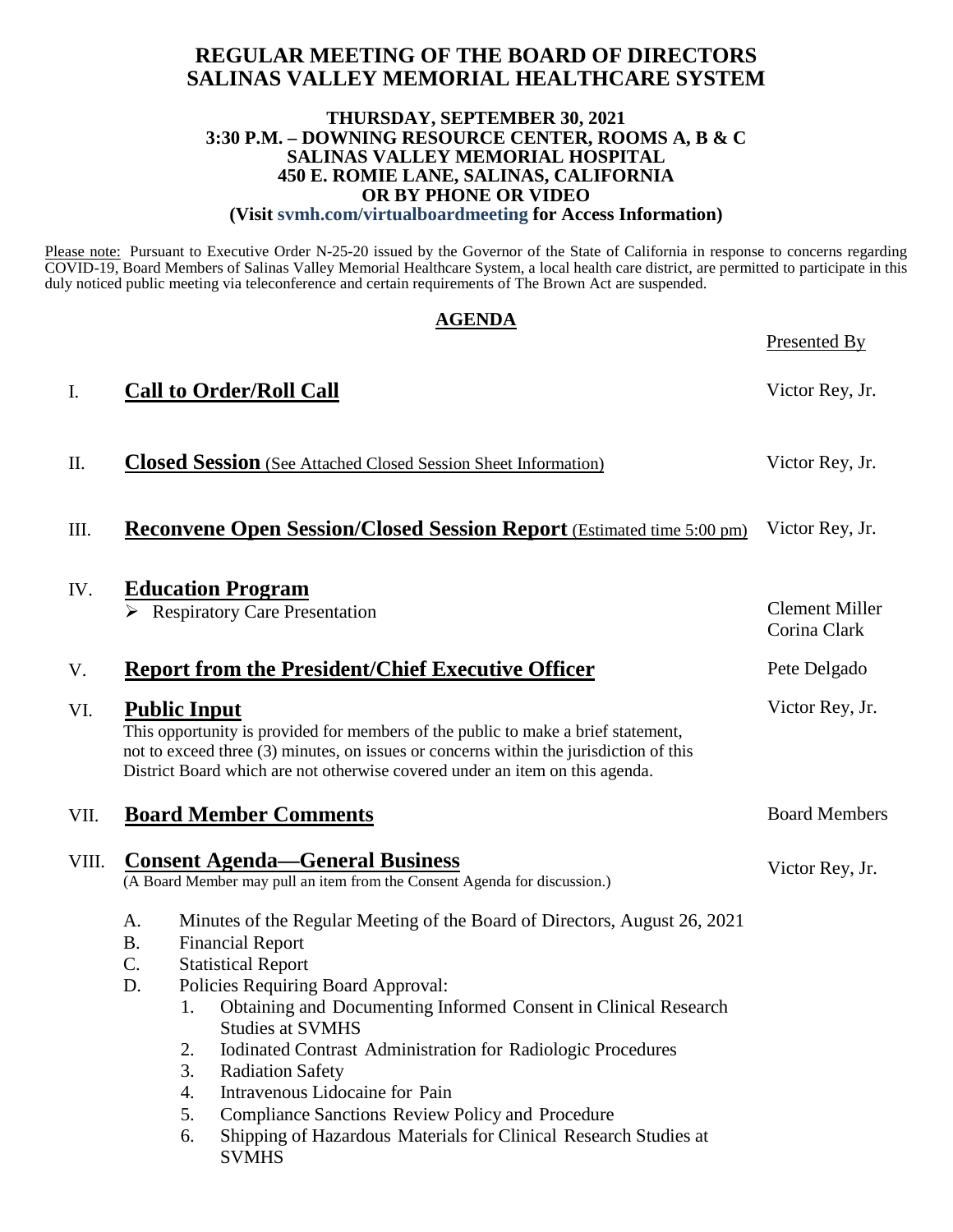#### **REGULAR MEETING OF THE BOARD OF DIRECTORS SALINAS VALLEY MEMORIAL HEALTHCARE SYSTEM**

#### **THURSDAY, SEPTEMBER 30, 2021 3:30 P.M. – DOWNING RESOURCE CENTER, ROOMS A, B & C SALINAS VALLEY MEMORIAL HOSPITAL 450 E. ROMIE LANE, SALINAS, CALIFORNIA OR BY PHONE OR VIDEO (Visit svmh.com/virtualboardmeeting for Access Information)**

Please note: Pursuant to Executive Order N-25-20 issued by the Governor of the State of California in response to concerns regarding COVID-19, Board Members of Salinas Valley Memorial Healthcare System, a local health care district, are permitted to participate in this duly noticed public meeting via teleconference and certain requirements of The Brown Act are suspended.

|       | <b>AGENDA</b>                                                                                                                                                                                                                                                                                                                                                                                                                                                                                                                                                                                                    | Presented By                          |
|-------|------------------------------------------------------------------------------------------------------------------------------------------------------------------------------------------------------------------------------------------------------------------------------------------------------------------------------------------------------------------------------------------------------------------------------------------------------------------------------------------------------------------------------------------------------------------------------------------------------------------|---------------------------------------|
| I.    | <b>Call to Order/Roll Call</b>                                                                                                                                                                                                                                                                                                                                                                                                                                                                                                                                                                                   | Victor Rey, Jr.                       |
| П.    | <b>Closed Session</b> (See Attached Closed Session Sheet Information)                                                                                                                                                                                                                                                                                                                                                                                                                                                                                                                                            | Victor Rey, Jr.                       |
| Ш.    | <b>Reconvene Open Session/Closed Session Report</b> (Estimated time 5:00 pm)                                                                                                                                                                                                                                                                                                                                                                                                                                                                                                                                     | Victor Rey, Jr.                       |
| IV.   | <b>Education Program</b><br><b>Respiratory Care Presentation</b>                                                                                                                                                                                                                                                                                                                                                                                                                                                                                                                                                 | <b>Clement Miller</b><br>Corina Clark |
| V.    | <b>Report from the President/Chief Executive Officer</b>                                                                                                                                                                                                                                                                                                                                                                                                                                                                                                                                                         | Pete Delgado                          |
| VI.   | <b>Public Input</b><br>This opportunity is provided for members of the public to make a brief statement,<br>not to exceed three (3) minutes, on issues or concerns within the jurisdiction of this<br>District Board which are not otherwise covered under an item on this agenda.                                                                                                                                                                                                                                                                                                                               | Victor Rey, Jr.                       |
| VII.  | <b>Board Member Comments</b>                                                                                                                                                                                                                                                                                                                                                                                                                                                                                                                                                                                     | <b>Board Members</b>                  |
| VIII. | <b>Consent Agenda—General Business</b><br>(A Board Member may pull an item from the Consent Agenda for discussion.)                                                                                                                                                                                                                                                                                                                                                                                                                                                                                              | Victor Rey, Jr.                       |
|       | Minutes of the Regular Meeting of the Board of Directors, August 26, 2021<br>A.<br><b>B.</b><br><b>Financial Report</b><br>C.<br><b>Statistical Report</b><br>Policies Requiring Board Approval:<br>D.<br>1. Obtaining and Documenting Informed Consent in Clinical Research<br><b>Studies at SVMHS</b><br><b>Iodinated Contrast Administration for Radiologic Procedures</b><br>2.<br>3.<br><b>Radiation Safety</b><br>Intravenous Lidocaine for Pain<br>4.<br>5.<br>Compliance Sanctions Review Policy and Procedure<br>Shipping of Hazardous Materials for Clinical Research Studies at<br>6.<br><b>SVMHS</b> |                                       |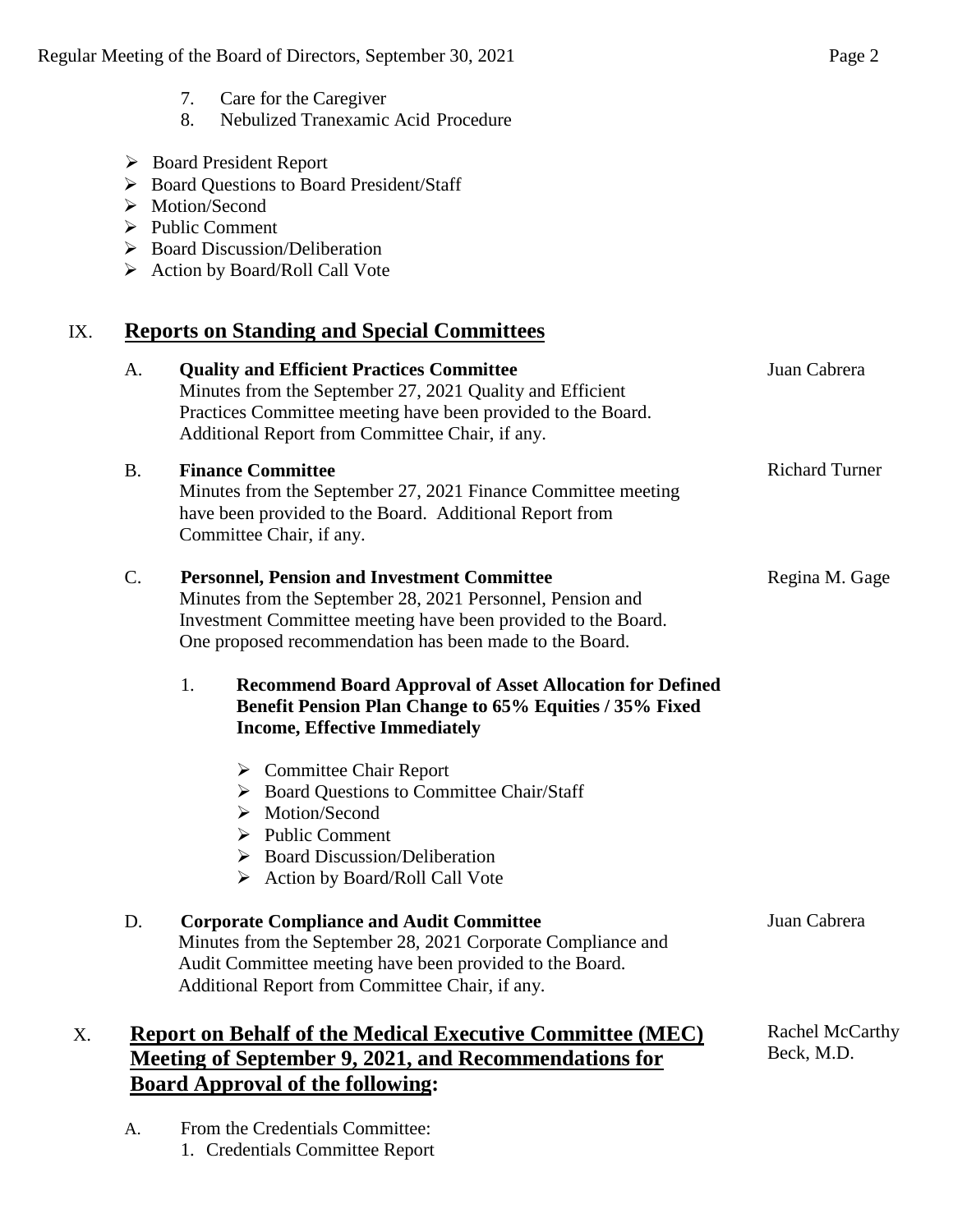- 7. Care for the Caregiver
- 8. Nebulized Tranexamic Acid Procedure
- Board President Report
- Board Questions to Board President/Staff
- > Motion/Second
- $\triangleright$  Public Comment
- $\triangleright$  Board Discussion/Deliberation
- Action by Board/Roll Call Vote

# IX. **Reports on Standing and Special Committees**

| A.        | <b>Quality and Efficient Practices Committee</b><br>Minutes from the September 27, 2021 Quality and Efficient<br>Practices Committee meeting have been provided to the Board.<br>Additional Report from Committee Chair, if any.             | Juan Cabrera                  |
|-----------|----------------------------------------------------------------------------------------------------------------------------------------------------------------------------------------------------------------------------------------------|-------------------------------|
| <b>B.</b> | <b>Finance Committee</b><br>Minutes from the September 27, 2021 Finance Committee meeting<br>have been provided to the Board. Additional Report from<br>Committee Chair, if any.                                                             | <b>Richard Turner</b>         |
| C.        | <b>Personnel, Pension and Investment Committee</b><br>Minutes from the September 28, 2021 Personnel, Pension and<br>Investment Committee meeting have been provided to the Board.<br>One proposed recommendation has been made to the Board. | Regina M. Gage                |
|           | 1.<br><b>Recommend Board Approval of Asset Allocation for Defined</b><br>Benefit Pension Plan Change to 65% Equities / 35% Fixed<br><b>Income, Effective Immediately</b>                                                                     |                               |
|           | $\triangleright$ Committee Chair Report<br>> Board Questions to Committee Chair/Staff<br>Motion/Second<br>➤<br><b>Public Comment</b><br>➤<br><b>Board Discussion/Deliberation</b><br>➤<br>Action by Board/Roll Call Vote                     |                               |
| D.        | <b>Corporate Compliance and Audit Committee</b><br>Minutes from the September 28, 2021 Corporate Compliance and<br>Audit Committee meeting have been provided to the Board.<br>Additional Report from Committee Chair, if any.               | Juan Cabrera                  |
| X.        | <b>Report on Behalf of the Medical Executive Committee (MEC)</b><br><b>Meeting of September 9, 2021, and Recommendations for</b><br><b>Board Approval of the following:</b>                                                                  | Rachel McCarthy<br>Beck, M.D. |

A. From the Credentials Committee: 1. Credentials Committee Report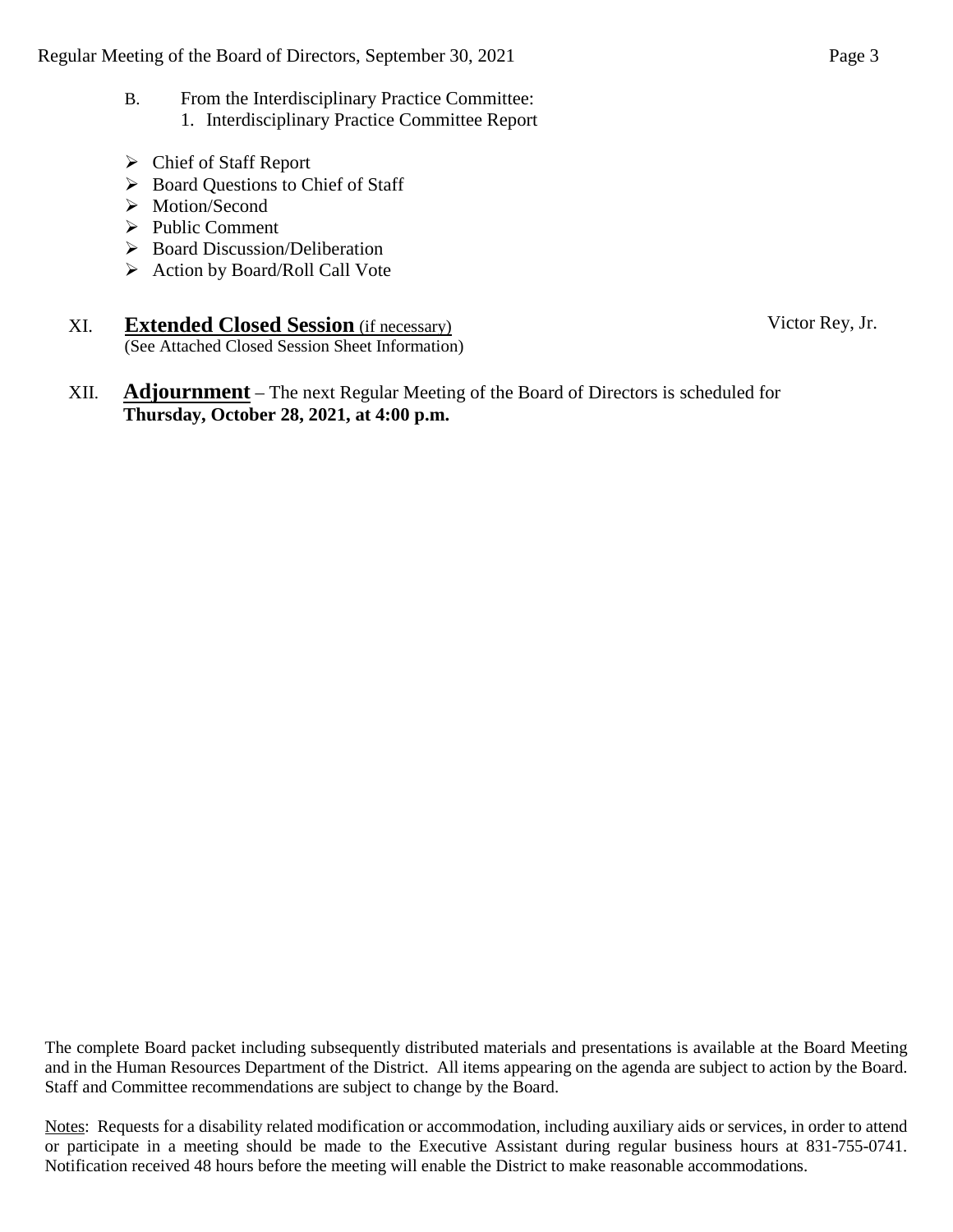- B. From the Interdisciplinary Practice Committee: 1. Interdisciplinary Practice Committee Report
- Chief of Staff Report
- Board Questions to Chief of Staff
- > Motion/Second
- $\triangleright$  Public Comment
- $\triangleright$  Board Discussion/Deliberation
- $\triangleright$  Action by Board/Roll Call Vote
- XI. **Extended Closed Session** (if necessary) (See Attached Closed Session Sheet Information)
- XII. **Adjournment** The next Regular Meeting of the Board of Directors is scheduled for **Thursday, October 28, 2021, at 4:00 p.m.**

The complete Board packet including subsequently distributed materials and presentations is available at the Board Meeting and in the Human Resources Department of the District. All items appearing on the agenda are subject to action by the Board. Staff and Committee recommendations are subject to change by the Board.

Notes: Requests for a disability related modification or accommodation, including auxiliary aids or services, in order to attend or participate in a meeting should be made to the Executive Assistant during regular business hours at 831-755-0741. Notification received 48 hours before the meeting will enable the District to make reasonable accommodations.

Victor Rey, Jr.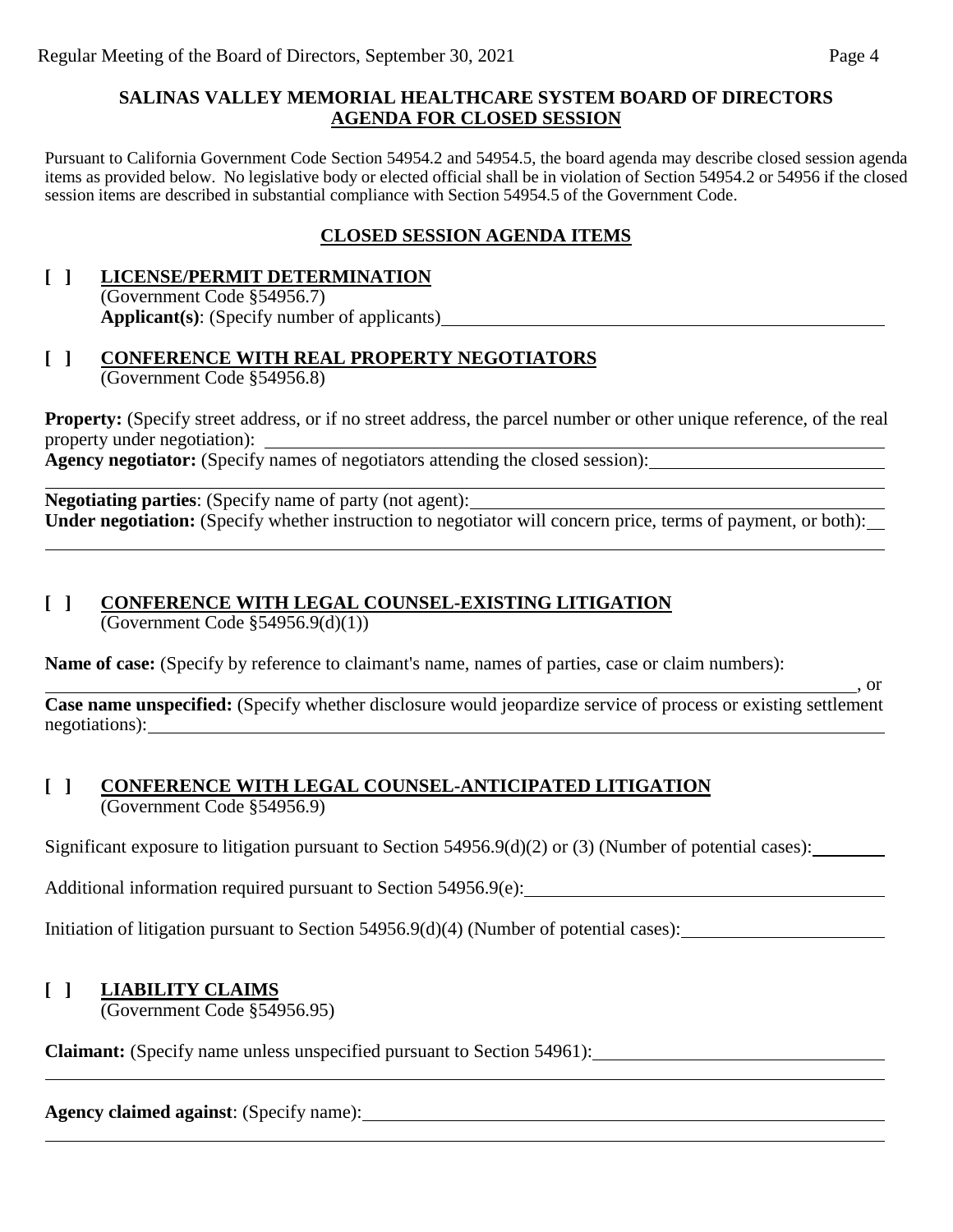#### **SALINAS VALLEY MEMORIAL HEALTHCARE SYSTEM BOARD OF DIRECTORS AGENDA FOR CLOSED SESSION**

Pursuant to California Government Code Section 54954.2 and 54954.5, the board agenda may describe closed session agenda items as provided below. No legislative body or elected official shall be in violation of Section 54954.2 or 54956 if the closed session items are described in substantial compliance with Section 54954.5 of the Government Code.

#### **CLOSED SESSION AGENDA ITEMS**

#### **[ ] LICENSE/PERMIT DETERMINATION** (Government Code §54956.7) **Applicant(s)**: (Specify number of applicants)

#### **[ ] CONFERENCE WITH REAL PROPERTY NEGOTIATORS** (Government Code §54956.8)

**Property:** (Specify street address, or if no street address, the parcel number or other unique reference, of the real property under negotiation): **Agency negotiator:** (Specify names of negotiators attending the closed session):

**Negotiating parties**: (Specify name of party (not agent): **Under negotiation:** (Specify whether instruction to negotiator will concern price, terms of payment, or both):

# **[ ] CONFERENCE WITH LEGAL COUNSEL-EXISTING LITIGATION**

(Government Code  $$54956.9(d)(1))$ )

**Name of case:** (Specify by reference to claimant's name, names of parties, case or claim numbers):

**Case name unspecified:** (Specify whether disclosure would jeopardize service of process or existing settlement negotiations):

#### **[ ] CONFERENCE WITH LEGAL COUNSEL-ANTICIPATED LITIGATION** (Government Code §54956.9)

Significant exposure to litigation pursuant to Section 54956.9(d)(2) or (3) (Number of potential cases):

Additional information required pursuant to Section 54956.9(e):

Initiation of litigation pursuant to Section 54956.9(d)(4) (Number of potential cases):

#### **[ ] LIABILITY CLAIMS**

(Government Code §54956.95)

**Claimant:** (Specify name unless unspecified pursuant to Section 54961):

**Agency claimed against**: (Specify name):

 $\overline{\phantom{0}}$ , or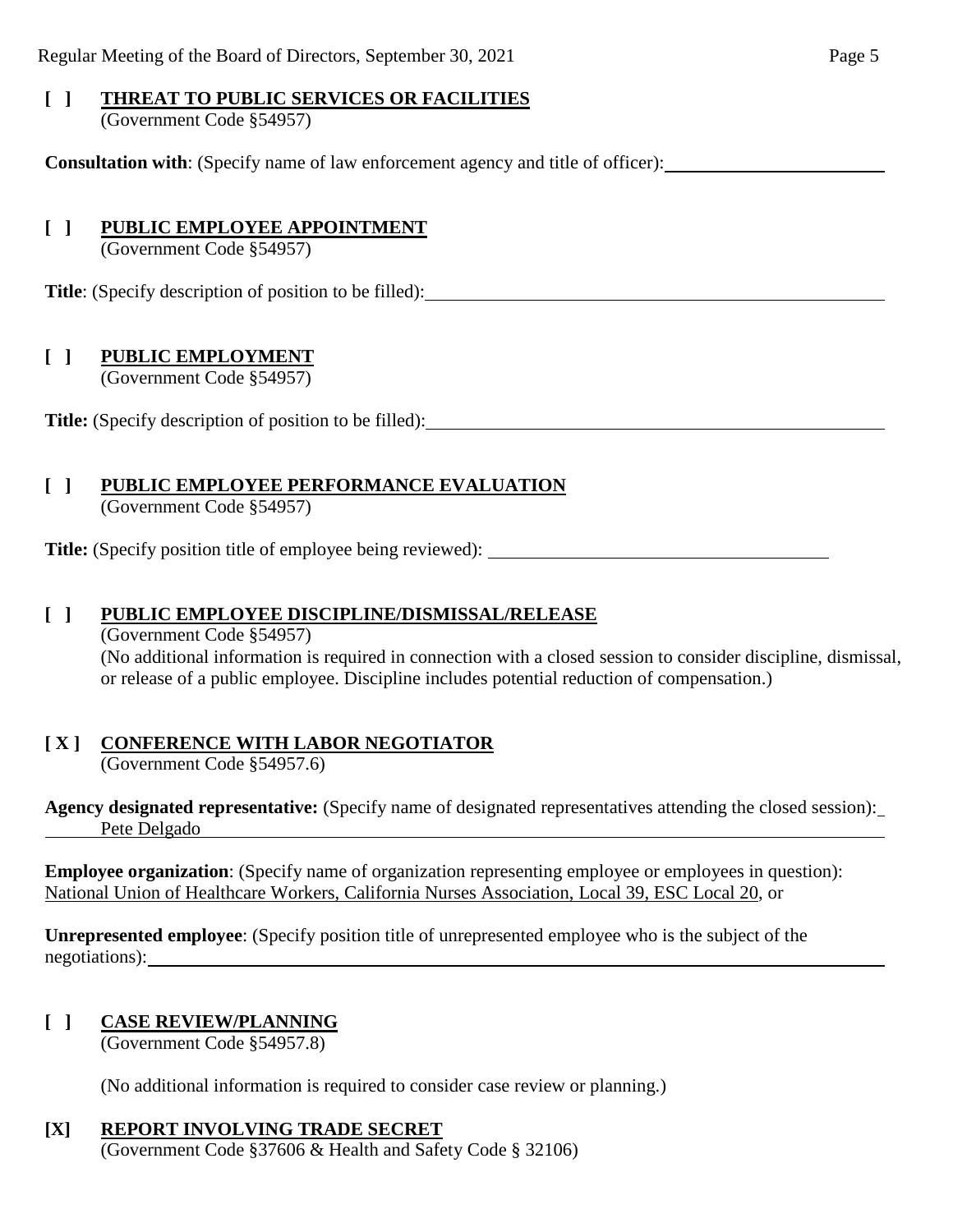# **[ ] THREAT TO PUBLIC SERVICES OR FACILITIES**

(Government Code §54957)

**Consultation with**: (Specify name of law enforcement agency and title of officer):

# **[ ] PUBLIC EMPLOYEE APPOINTMENT**

(Government Code §54957)

**Title**: (Specify description of position to be filled):

# **[ ] PUBLIC EMPLOYMENT**

(Government Code §54957)

**Title:** (Specify description of position to be filled):

# **[ ] PUBLIC EMPLOYEE PERFORMANCE EVALUATION**

(Government Code §54957)

**Title:** (Specify position title of employee being reviewed):

### **[ ] PUBLIC EMPLOYEE DISCIPLINE/DISMISSAL/RELEASE**

(Government Code §54957) (No additional information is required in connection with a closed session to consider discipline, dismissal, or release of a public employee. Discipline includes potential reduction of compensation.)

# **[ X ] CONFERENCE WITH LABOR NEGOTIATOR**

(Government Code §54957.6)

**Agency designated representative:** (Specify name of designated representatives attending the closed session): Pete Delgado

**Employee organization**: (Specify name of organization representing employee or employees in question): National Union of Healthcare Workers, California Nurses Association, Local 39, ESC Local 20, or

**Unrepresented employee**: (Specify position title of unrepresented employee who is the subject of the negotiations):

# **[ ] CASE REVIEW/PLANNING**

(Government Code §54957.8)

(No additional information is required to consider case review or planning.)

# **[X] REPORT INVOLVING TRADE SECRET**

(Government Code §37606 & Health and Safety Code § 32106)